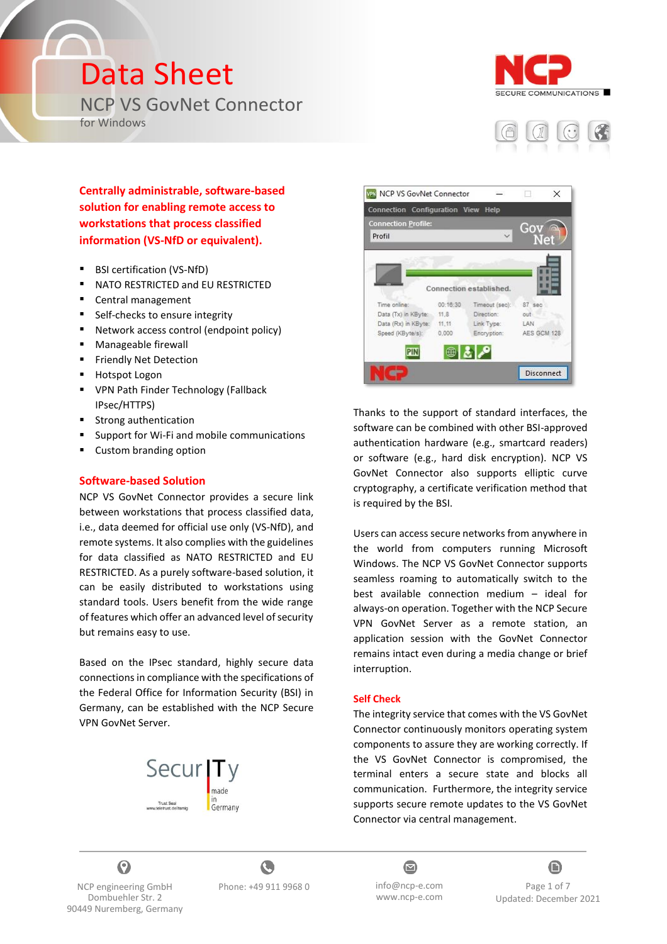## Data Sheet

NCP VS GovNet Connector

for Windows





**Centrally administrable, software-based solution for enabling remote access to workstations that process classified information (VS-NfD or equivalent).**

- BSI certification (VS-NfD)
- NATO RESTRICTED and EU RESTRICTED
- Central management
- Self-checks to ensure integrity
- Network access control (endpoint policy)
- Manageable firewall
- Friendly Net Detection
- Hotspot Logon
- VPN Path Finder Technology (Fallback IPsec/HTTPS)
- Strong authentication
- Support for Wi-Fi and mobile communications
- Custom branding option

#### **Software-based Solution**

NCP VS GovNet Connector provides a secure link between workstations that process classified data, i.e., data deemed for official use only (VS-NfD), and remote systems. It also complies with the guidelines for data classified as NATO RESTRICTED and EU RESTRICTED. As a purely software-based solution, it can be easily distributed to workstations using standard tools. Users benefit from the wide range of features which offer an advanced level of security but remains easy to use.

Based on the IPsec standard, highly secure data connections in compliance with the specifications of the Federal Office for Information Security (BSI) in Germany, can be established with the NCP Secure VPN GovNet Server.





Thanks to the support of standard interfaces, the software can be combined with other BSI-approved authentication hardware (e.g., smartcard readers) or software (e.g., hard disk encryption). NCP VS GovNet Connector also supports elliptic curve cryptography, a certificate verification method that is required by the BSI.

Users can access secure networks from anywhere in the world from computers running Microsoft Windows. The NCP VS GovNet Connector supports seamless roaming to automatically switch to the best available connection medium – ideal for always-on operation. Together with the NCP Secure VPN GovNet Server as a remote station, an application session with the GovNet Connector remains intact even during a media change or brief interruption.

#### **Self Check**

The integrity service that comes with the VS GovNet Connector continuously monitors operating system components to assure they are working correctly. If the VS GovNet Connector is compromised, the terminal enters a secure state and blocks all communication. Furthermore, the integrity service supports secure remote updates to the VS GovNet Connector via central management.



NCP engineering GmbH Dombuehler Str. 2 90449 Nuremberg, Germany

C Phone: +49 911 9968 0 info@ncp-e.com



 $\bf G$ Page 1 of 7 Updated: December 2021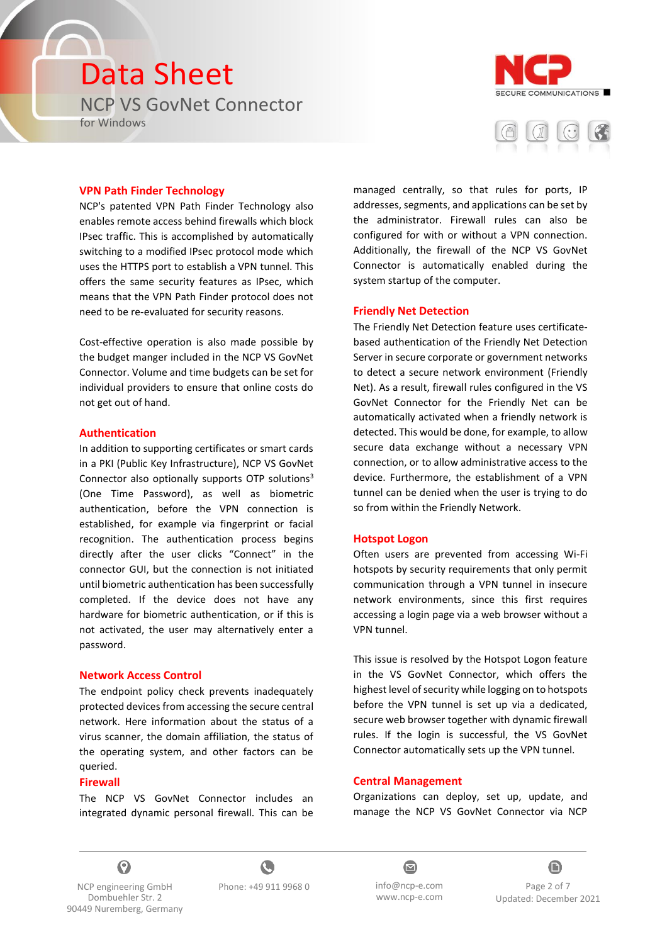# Data Sheet

NCP VS GovNet Connector

for Windows





#### **VPN Path Finder Technology**

NCP's patented VPN Path Finder Technology also enables remote access behind firewalls which block IPsec traffic. This is accomplished by automatically switching to a modified IPsec protocol mode which uses the HTTPS port to establish a VPN tunnel. This offers the same security features as IPsec, which means that the VPN Path Finder protocol does not need to be re-evaluated for security reasons.

Cost-effective operation is also made possible by the budget manger included in the NCP VS GovNet Connector. Volume and time budgets can be set for individual providers to ensure that online costs do not get out of hand.

#### **Authentication**

In addition to supporting certificates or smart cards in a PKI (Public Key Infrastructure), NCP VS GovNet Connector also optionally supports OTP solutions $3$ (One Time Password), as well as biometric authentication, before the VPN connection is established, for example via fingerprint or facial recognition. The authentication process begins directly after the user clicks "Connect" in the connector GUI, but the connection is not initiated until biometric authentication has been successfully completed. If the device does not have any hardware for biometric authentication, or if this is not activated, the user may alternatively enter a password.

#### **Network Access Control**

The endpoint policy check prevents inadequately protected devices from accessing the secure central network. Here information about the status of a virus scanner, the domain affiliation, the status of the operating system, and other factors can be queried.

#### **Firewall**

The NCP VS GovNet Connector includes an integrated dynamic personal firewall. This can be managed centrally, so that rules for ports, IP addresses, segments, and applications can be set by the administrator. Firewall rules can also be configured for with or without a VPN connection. Additionally, the firewall of the NCP VS GovNet Connector is automatically enabled during the system startup of the computer.

#### **Friendly Net Detection**

The Friendly Net Detection feature uses certificatebased authentication of the Friendly Net Detection Server in secure corporate or government networks to detect a secure network environment (Friendly Net). As a result, firewall rules configured in the VS GovNet Connector for the Friendly Net can be automatically activated when a friendly network is detected. This would be done, for example, to allow secure data exchange without a necessary VPN connection, or to allow administrative access to the device. Furthermore, the establishment of a VPN tunnel can be denied when the user is trying to do so from within the Friendly Network.

#### **Hotspot Logon**

Often users are prevented from accessing Wi-Fi hotspots by security requirements that only permit communication through a VPN tunnel in insecure network environments, since this first requires accessing a login page via a web browser without a VPN tunnel.

This issue is resolved by the Hotspot Logon feature in the VS GovNet Connector, which offers the highest level of security while logging on to hotspots before the VPN tunnel is set up via a dedicated, secure web browser together with dynamic firewall rules. If the login is successful, the VS GovNet Connector automatically sets up the VPN tunnel.

#### **Central Management**

Organizations can deploy, set up, update, and manage the NCP VS GovNet Connector via NCP



NCP engineering GmbH Dombuehler Str. 2 90449 Nuremberg, Germany





 $\bf G$ Page 2 of 7 Updated: December 2021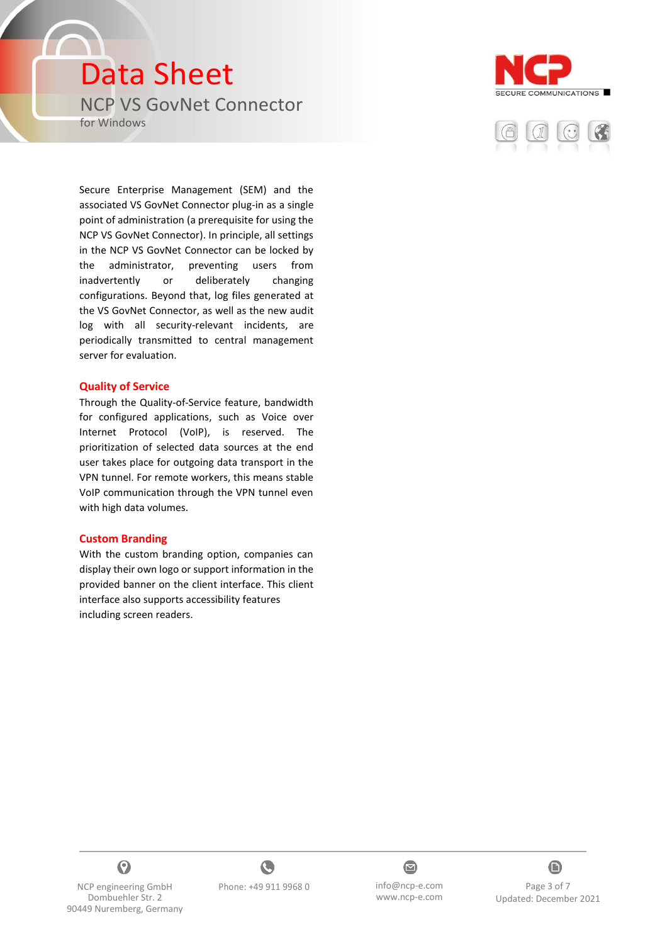### Data Sheet NCP VS GovNet Connector for Windows





Secure Enterprise Management (SEM) and the associated VS GovNet Connector plug-in as a single point of administration (a prerequisite for using the NCP VS GovNet Connector). In principle, all settings in the NCP VS GovNet Connector can be locked by the administrator, preventing users from inadvertently or deliberately changing configurations. Beyond that, log files generated at the VS GovNet Connector, as well as the new audit log with all security-relevant incidents, are periodically transmitted to central management server for evaluation.

#### **Quality of Service**

Through the Quality-of-Service feature, bandwidth for configured applications, such as Voice over Internet Protocol (VoIP), is reserved. The prioritization of selected data sources at the end user takes place for outgoing data transport in the VPN tunnel. For remote workers, this means stable VoIP communication through the VPN tunnel even with high data volumes.

#### **Custom Branding**

With the custom branding option, companies can display their own logo or support information in the provided banner on the client interface. This client interface also supports accessibility features including screen readers.



NCP engineering GmbH Dombuehler Str. 2 90449 Nuremberg, Germany





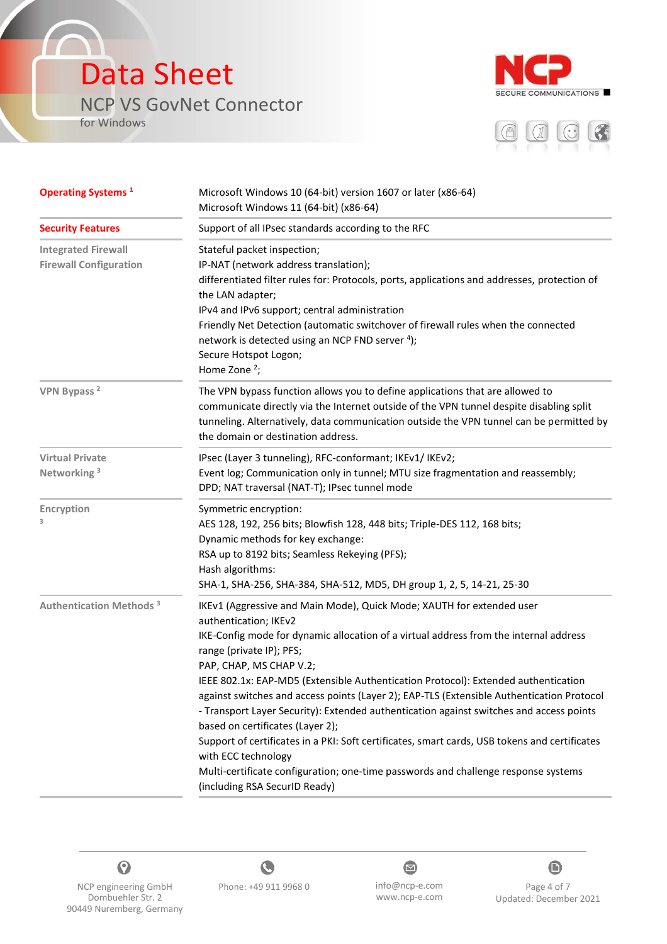### Data Sheet NCP VS GovNet Connector

for Windows

ſ.





| <b>Operating Systems</b> <sup>1</sup>                       | Microsoft Windows 10 (64-bit) version 1607 or later (x86-64)<br>Microsoft Windows 11 (64-bit) (x86-64)<br>Support of all IPsec standards according to the RFC                                                                                                                                                                                                                                                                                                                                                                                                                                                                                                                                                                                                                                                   |  |  |
|-------------------------------------------------------------|-----------------------------------------------------------------------------------------------------------------------------------------------------------------------------------------------------------------------------------------------------------------------------------------------------------------------------------------------------------------------------------------------------------------------------------------------------------------------------------------------------------------------------------------------------------------------------------------------------------------------------------------------------------------------------------------------------------------------------------------------------------------------------------------------------------------|--|--|
| <b>Security Features</b>                                    |                                                                                                                                                                                                                                                                                                                                                                                                                                                                                                                                                                                                                                                                                                                                                                                                                 |  |  |
| <b>Integrated Firewall</b><br><b>Firewall Configuration</b> | Stateful packet inspection;<br>IP-NAT (network address translation);<br>differentiated filter rules for: Protocols, ports, applications and addresses, protection of<br>the LAN adapter;<br>IPv4 and IPv6 support; central administration<br>Friendly Net Detection (automatic switchover of firewall rules when the connected<br>network is detected using an NCP FND server 4);<br>Secure Hotspot Logon;<br>Home Zone $2$ ;                                                                                                                                                                                                                                                                                                                                                                                   |  |  |
| VPN Bypass <sup>2</sup>                                     | The VPN bypass function allows you to define applications that are allowed to<br>communicate directly via the Internet outside of the VPN tunnel despite disabling split<br>tunneling. Alternatively, data communication outside the VPN tunnel can be permitted by<br>the domain or destination address.                                                                                                                                                                                                                                                                                                                                                                                                                                                                                                       |  |  |
| <b>Virtual Private</b><br>Networking <sup>3</sup>           | IPsec (Layer 3 tunneling), RFC-conformant; IKEv1/ IKEv2;<br>Event log; Communication only in tunnel; MTU size fragmentation and reassembly;<br>DPD; NAT traversal (NAT-T); IPsec tunnel mode                                                                                                                                                                                                                                                                                                                                                                                                                                                                                                                                                                                                                    |  |  |
| Encryption                                                  | Symmetric encryption:<br>AES 128, 192, 256 bits; Blowfish 128, 448 bits; Triple-DES 112, 168 bits;<br>Dynamic methods for key exchange:<br>RSA up to 8192 bits; Seamless Rekeying (PFS);<br>Hash algorithms:<br>SHA-1, SHA-256, SHA-384, SHA-512, MD5, DH group 1, 2, 5, 14-21, 25-30                                                                                                                                                                                                                                                                                                                                                                                                                                                                                                                           |  |  |
| <b>Authentication Methods<sup>3</sup></b>                   | IKEv1 (Aggressive and Main Mode), Quick Mode; XAUTH for extended user<br>authentication; IKEv2<br>IKE-Config mode for dynamic allocation of a virtual address from the internal address<br>range (private IP); PFS;<br>PAP, CHAP, MS CHAP V.2;<br>IEEE 802.1x: EAP-MD5 (Extensible Authentication Protocol): Extended authentication<br>against switches and access points (Layer 2); EAP-TLS (Extensible Authentication Protocol<br>- Transport Layer Security): Extended authentication against switches and access points<br>based on certificates (Layer 2);<br>Support of certificates in a PKI: Soft certificates, smart cards, USB tokens and certificates<br>with ECC technology<br>Multi-certificate configuration; one-time passwords and challenge response systems<br>(including RSA SecurID Ready) |  |  |







NCP engineering GmbH Dombuehler Str. 2 90449 Nuremberg, Germany www.ncp-e.com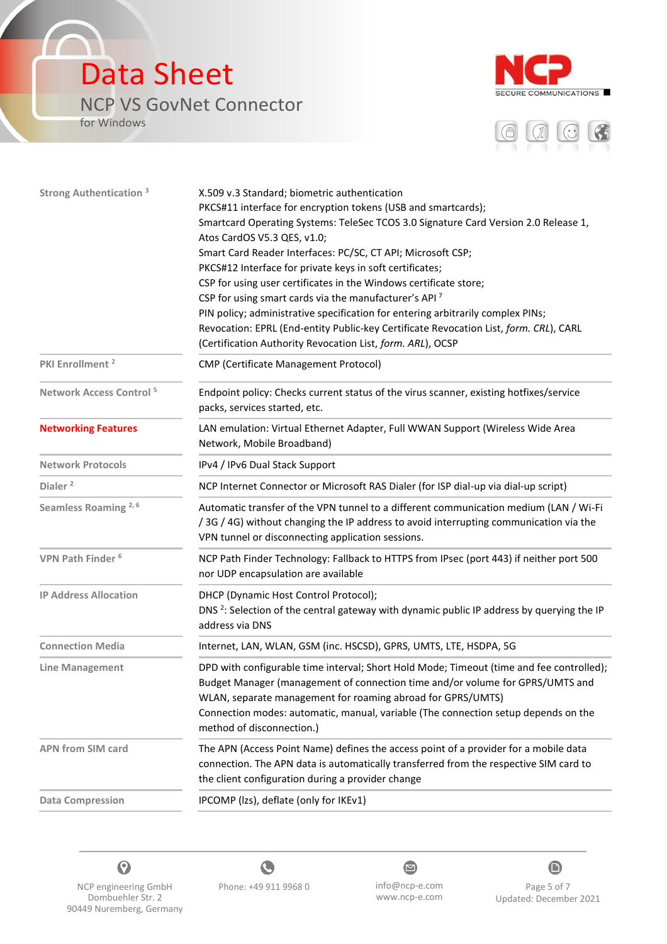### Data Sheet NCP VS GovNet Connector

for Windows

ſ.





| <b>Strong Authentication 3</b>      | X.509 v.3 Standard; biometric authentication                                                                                                                                                                                             |  |
|-------------------------------------|------------------------------------------------------------------------------------------------------------------------------------------------------------------------------------------------------------------------------------------|--|
|                                     | PKCS#11 interface for encryption tokens (USB and smartcards);                                                                                                                                                                            |  |
|                                     | Smartcard Operating Systems: TeleSec TCOS 3.0 Signature Card Version 2.0 Release 1,                                                                                                                                                      |  |
|                                     | Atos CardOS V5.3 QES, v1.0;                                                                                                                                                                                                              |  |
|                                     | Smart Card Reader Interfaces: PC/SC, CT API; Microsoft CSP;                                                                                                                                                                              |  |
|                                     | PKCS#12 Interface for private keys in soft certificates;                                                                                                                                                                                 |  |
|                                     | CSP for using user certificates in the Windows certificate store;                                                                                                                                                                        |  |
|                                     | CSP for using smart cards via the manufacturer's API <sup>7</sup>                                                                                                                                                                        |  |
|                                     | PIN policy; administrative specification for entering arbitrarily complex PINs;                                                                                                                                                          |  |
|                                     | Revocation: EPRL (End-entity Public-key Certificate Revocation List, form. CRL), CARL                                                                                                                                                    |  |
|                                     | (Certification Authority Revocation List, form. ARL), OCSP                                                                                                                                                                               |  |
| PKI Enrollment <sup>2</sup>         | <b>CMP (Certificate Management Protocol)</b>                                                                                                                                                                                             |  |
| Network Access Control <sup>5</sup> | Endpoint policy: Checks current status of the virus scanner, existing hotfixes/service<br>packs, services started, etc.                                                                                                                  |  |
| <b>Networking Features</b>          | LAN emulation: Virtual Ethernet Adapter, Full WWAN Support (Wireless Wide Area<br>Network, Mobile Broadband)                                                                                                                             |  |
| <b>Network Protocols</b>            | IPv4 / IPv6 Dual Stack Support                                                                                                                                                                                                           |  |
| Dialer <sup>2</sup>                 | NCP Internet Connector or Microsoft RAS Dialer (for ISP dial-up via dial-up script)                                                                                                                                                      |  |
| Seamless Roaming <sup>2,6</sup>     | Automatic transfer of the VPN tunnel to a different communication medium (LAN / Wi-Fi                                                                                                                                                    |  |
|                                     | /3G / 4G) without changing the IP address to avoid interrupting communication via the                                                                                                                                                    |  |
|                                     | VPN tunnel or disconnecting application sessions.                                                                                                                                                                                        |  |
| VPN Path Finder <sup>6</sup>        | NCP Path Finder Technology: Fallback to HTTPS from IPsec (port 443) if neither port 500<br>nor UDP encapsulation are available                                                                                                           |  |
| <b>IP Address Allocation</b>        | DHCP (Dynamic Host Control Protocol);                                                                                                                                                                                                    |  |
|                                     | DNS <sup>2</sup> : Selection of the central gateway with dynamic public IP address by querying the IP<br>address via DNS                                                                                                                 |  |
| <b>Connection Media</b>             | Internet, LAN, WLAN, GSM (inc. HSCSD), GPRS, UMTS, LTE, HSDPA, 5G                                                                                                                                                                        |  |
| <b>Line Management</b>              | DPD with configurable time interval; Short Hold Mode; Timeout (time and fee controlled);<br>Budget Manager (management of connection time and/or volume for GPRS/UMTS and<br>WLAN, separate management for roaming abroad for GPRS/UMTS) |  |
|                                     | Connection modes: automatic, manual, variable (The connection setup depends on the<br>method of disconnection.)                                                                                                                          |  |
| <b>APN from SIM card</b>            | The APN (Access Point Name) defines the access point of a provider for a mobile data<br>connection. The APN data is automatically transferred from the respective SIM card to<br>the client configuration during a provider change       |  |
| <b>Data Compression</b>             | IPCOMP (Izs), deflate (only for IKEv1)                                                                                                                                                                                                   |  |
|                                     |                                                                                                                                                                                                                                          |  |



NCP engineering GmbH Dombuehler Str. 2 90449 Nuremberg, Germany



 $\bullet$ www.ncp-e.com



Page 5 of 7 Updated: December 2021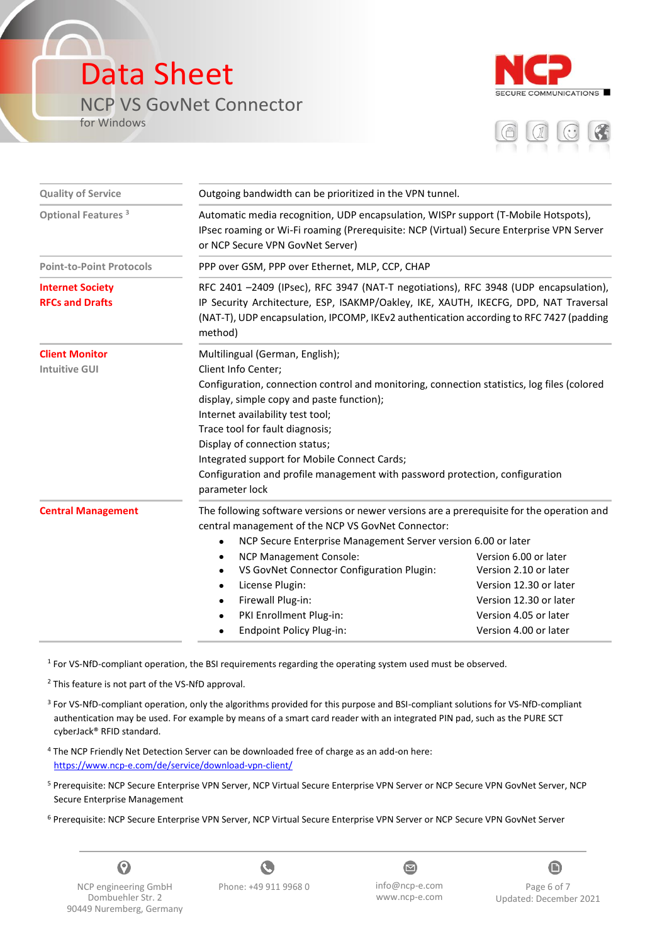### Data Sheet NCP VS GovNet Connector

for Windows





| <b>Quality of Service</b>                         | Outgoing bandwidth can be prioritized in the VPN tunnel.                                                                                                                                                                                                                                                                                                                                                                                                     |                                                                                                                                                      |  |  |
|---------------------------------------------------|--------------------------------------------------------------------------------------------------------------------------------------------------------------------------------------------------------------------------------------------------------------------------------------------------------------------------------------------------------------------------------------------------------------------------------------------------------------|------------------------------------------------------------------------------------------------------------------------------------------------------|--|--|
| Optional Features <sup>3</sup>                    | Automatic media recognition, UDP encapsulation, WISPr support (T-Mobile Hotspots),<br>IPsec roaming or Wi-Fi roaming (Prerequisite: NCP (Virtual) Secure Enterprise VPN Server<br>or NCP Secure VPN GovNet Server)                                                                                                                                                                                                                                           |                                                                                                                                                      |  |  |
| <b>Point-to-Point Protocols</b>                   | PPP over GSM, PPP over Ethernet, MLP, CCP, CHAP                                                                                                                                                                                                                                                                                                                                                                                                              |                                                                                                                                                      |  |  |
| <b>Internet Society</b><br><b>RFCs and Drafts</b> | RFC 2401 -2409 (IPsec), RFC 3947 (NAT-T negotiations), RFC 3948 (UDP encapsulation),<br>IP Security Architecture, ESP, ISAKMP/Oakley, IKE, XAUTH, IKECFG, DPD, NAT Traversal<br>(NAT-T), UDP encapsulation, IPCOMP, IKEv2 authentication according to RFC 7427 (padding<br>method)                                                                                                                                                                           |                                                                                                                                                      |  |  |
| <b>Client Monitor</b><br><b>Intuitive GUI</b>     | Multilingual (German, English);<br>Client Info Center;<br>Configuration, connection control and monitoring, connection statistics, log files (colored<br>display, simple copy and paste function);<br>Internet availability test tool;<br>Trace tool for fault diagnosis;<br>Display of connection status;<br>Integrated support for Mobile Connect Cards;<br>Configuration and profile management with password protection, configuration<br>parameter lock |                                                                                                                                                      |  |  |
| <b>Central Management</b>                         | The following software versions or newer versions are a prerequisite for the operation and<br>central management of the NCP VS GovNet Connector:<br>NCP Secure Enterprise Management Server version 6.00 or later<br><b>NCP Management Console:</b><br>VS GovNet Connector Configuration Plugin:<br>License Plugin:<br>Firewall Plug-in:<br>PKI Enrollment Plug-in:<br>Endpoint Policy Plug-in:                                                              | Version 6.00 or later<br>Version 2.10 or later<br>Version 12.30 or later<br>Version 12.30 or later<br>Version 4.05 or later<br>Version 4.00 or later |  |  |

<sup>1</sup> For VS-NfD-compliant operation, the BSI requirements regarding the operating system used must be observed.

<sup>2</sup> This feature is not part of the VS-NfD approval.

- <sup>3</sup> For VS-NfD-compliant operation, only the algorithms provided for this purpose and BSI-compliant solutions for VS-NfD-compliant authentication may be used. For example by means of a smart card reader with an integrated PIN pad, such as the PURE SCT cyberJack® RFID standard.
- <sup>4</sup> The NCP Friendly Net Detection Server can be downloaded free of charge as an add-on here: https://www.ncp-e.com/de/service/download-vpn-client/
- <sup>5</sup> Prerequisite: NCP Secure Enterprise VPN Server, NCP Virtual Secure Enterprise VPN Server or NCP Secure VPN GovNet Server, NCP Secure Enterprise Management
- <sup>6</sup> Prerequisite: NCP Secure Enterprise VPN Server, NCP Virtual Secure Enterprise VPN Server or NCP Secure VPN GovNet Server



NCP engineering GmbH Dombuehler Str. 2 90449 Nuremberg, Germany

C Phone: +49 911 9968 0 info@ncp-e.com

 $\bullet$ www.ncp-e.com



Page 6 of 7 Updated: December 2021